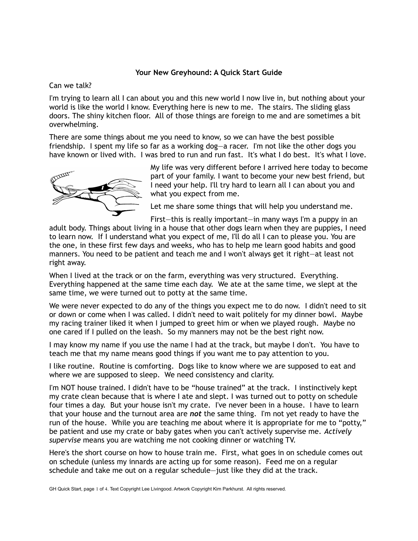## **Your New Greyhound: A Quick Start Guide**

Can we talk?

I'm trying to learn all I can about you and this new world I now live in, but nothing about your world is like the world I know. Everything here is new to me. The stairs. The sliding glass doors. The shiny kitchen floor. All of those things are foreign to me and are sometimes a bit overwhelming.

There are some things about me you need to know, so we can have the best possible friendship. I spent my life so far as a working dog—a racer. I'm not like the other dogs you have known or lived with. I was bred to run and run fast. It's what I do best. It's what I love.



My life was very different before I arrived here today to become part of your family. I want to become your new best friend, but I need your help. I'll try hard to learn all I can about you and what you expect from me.

Let me share some things that will help you understand me.

First—this is really important—in many ways I'm a puppy in an adult body. Things about living in a house that other dogs learn when they are puppies, I need to learn now. If I understand what you expect of me, I'll do all I can to please you. You are the one, in these first few days and weeks, who has to help me learn good habits and good manners. You need to be patient and teach me and I won't always get it right—at least not right away.

When I lived at the track or on the farm, everything was very structured. Everything. Everything happened at the same time each day. We ate at the same time, we slept at the same time, we were turned out to potty at the same time.

We were never expected to do any of the things you expect me to do now. I didn't need to sit or down or come when I was called. I didn't need to wait politely for my dinner bowl. Maybe my racing trainer liked it when I jumped to greet him or when we played rough. Maybe no one cared if I pulled on the leash. So my manners may not be the best right now.

I may know my name if you use the name I had at the track, but maybe I don't. You have to teach me that my name means good things if you want me to pay attention to you.

I like routine. Routine is comforting. Dogs like to know where we are supposed to eat and where we are supposed to sleep. We need consistency and clarity.

I'm NOT house trained. I didn't have to be "house trained" at the track. I instinctively kept my crate clean because that is where I ate and slept. I was turned out to potty on schedule four times a day. But your house isn't my crate. I've never been in a house. I have to learn that your house and the turnout area are *not* the same thing. I'm not yet ready to have the run of the house. While you are teaching me about where it is appropriate for me to "potty," be patient and use my crate or baby gates when you can't actively supervise me. *Actively supervise* means you are watching me not cooking dinner or watching TV.

Here's the short course on how to house train me. First, what goes in on schedule comes out on schedule (unless my innards are acting up for some reason). Feed me on a regular schedule and take me out on a regular schedule—just like they did at the track.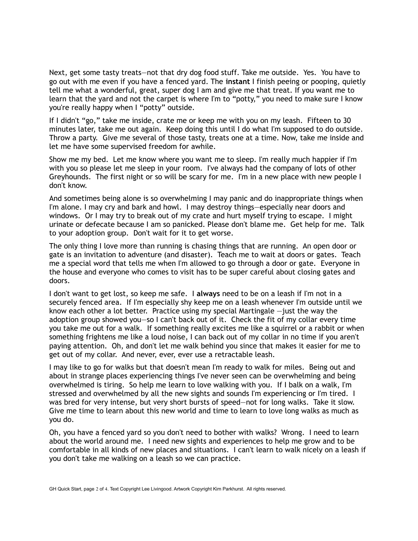Next, get some tasty treats—not that dry dog food stuff. Take me outside. Yes. You have to go out with me even if you have a fenced yard. The **instant** I finish peeing or pooping, quietly tell me what a wonderful, great, super dog I am and give me that treat. If you want me to learn that the yard and not the carpet is where I'm to "potty," you need to make sure I know you're really happy when I "potty" outside.

If I didn't "go," take me inside, crate me or keep me with you on my leash. Fifteen to 30 minutes later, take me out again. Keep doing this until I do what I'm supposed to do outside. Throw a party. Give me several of those tasty, treats one at a time. Now, take me inside and let me have some supervised freedom for awhile.

Show me my bed. Let me know where you want me to sleep. I'm really much happier if I'm with you so please let me sleep in your room. I've always had the company of lots of other Greyhounds. The first night or so will be scary for me. I'm in a new place with new people I don't know.

And sometimes being alone is so overwhelming I may panic and do inappropriate things when I'm alone. I may cry and bark and howl. I may destroy things—especially near doors and windows. Or I may try to break out of my crate and hurt myself trying to escape. I might urinate or defecate because I am so panicked. Please don't blame me. Get help for me. Talk to your adoption group. Don't wait for it to get worse.

The only thing I love more than running is chasing things that are running. An open door or gate is an invitation to adventure (and disaster). Teach me to wait at doors or gates. Teach me a special word that tells me when I'm allowed to go through a door or gate. Everyone in the house and everyone who comes to visit has to be super careful about closing gates and doors.

I don't want to get lost, so keep me safe. I **always** need to be on a leash if I'm not in a securely fenced area. If I'm especially shy keep me on a leash whenever I'm outside until we know each other a lot better. Practice using my special Martingale  $-$ just the way the adoption group showed you—so I can't back out of it. Check the fit of my collar every time you take me out for a walk. If something really excites me like a squirrel or a rabbit or when something frightens me like a loud noise, I can back out of my collar in no time if you aren't paying attention. Oh, and don't let me walk behind you since that makes it easier for me to get out of my collar. And never, ever, ever use a retractable leash.

I may like to go for walks but that doesn't mean I'm ready to walk for miles. Being out and about in strange places experiencing things I've never seen can be overwhelming and being overwhelmed is tiring. So help me learn to love walking with you. If I balk on a walk, I'm stressed and overwhelmed by all the new sights and sounds I'm experiencing or I'm tired. I was bred for very intense, but very short bursts of speed—not for long walks. Take it slow. Give me time to learn about this new world and time to learn to love long walks as much as you do.

Oh, you have a fenced yard so you don't need to bother with walks? Wrong. I need to learn about the world around me. I need new sights and experiences to help me grow and to be comfortable in all kinds of new places and situations. I can't learn to walk nicely on a leash if you don't take me walking on a leash so we can practice.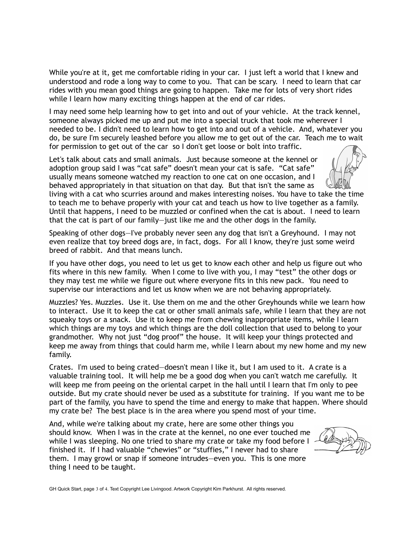While you're at it, get me comfortable riding in your car. I just left a world that I knew and understood and rode a long way to come to you. That can be scary. I need to learn that car rides with you mean good things are going to happen. Take me for lots of very short rides while I learn how many exciting things happen at the end of car rides.

I may need some help learning how to get into and out of your vehicle. At the track kennel, someone always picked me up and put me into a special truck that took me wherever I needed to be. I didn't need to learn how to get into and out of a vehicle. And, whatever you do, be sure I'm securely leashed before you allow me to get out of the car. Teach me to wait for permission to get out of the car so I don't get loose or bolt into traffic.

Let's talk about cats and small animals. Just because someone at the kennel or adoption group said I was "cat safe" doesn't mean your cat is safe. "Cat safe" usually means someone watched my reaction to one cat on one occasion, and I behaved appropriately in that situation on that day. But that isn't the same as

living with a cat who scurries around and makes interesting noises. You have to take the time to teach me to behave properly with your cat and teach us how to live together as a family. Until that happens, I need to be muzzled or confined when the cat is about. I need to learn that the cat is part of our family—just like me and the other dogs in the family.

Speaking of other dogs—I've probably never seen any dog that isn't a Greyhound. I may not even realize that toy breed dogs are, in fact, dogs. For all I know, they're just some weird breed of rabbit. And that means lunch.

If you have other dogs, you need to let us get to know each other and help us figure out who fits where in this new family. When I come to live with you, I may "test" the other dogs or they may test me while we figure out where everyone fits in this new pack. You need to supervise our interactions and let us know when we are not behaving appropriately.

Muzzles? Yes. Muzzles. Use it. Use them on me and the other Greyhounds while we learn how to interact. Use it to keep the cat or other small animals safe, while I learn that they are not squeaky toys or a snack. Use it to keep me from chewing inappropriate items, while I learn which things are my toys and which things are the doll collection that used to belong to your grandmother. Why not just "dog proof" the house. It will keep your things protected and keep me away from things that could harm me, while I learn about my new home and my new family.

Crates. I'm used to being crated—doesn't mean I like it, but I am used to it. A crate is a valuable training tool. It will help me be a good dog when you can't watch me carefully. It will keep me from peeing on the oriental carpet in the hall until I learn that I'm only to pee outside. But my crate should never be used as a substitute for training. If you want me to be part of the family, you have to spend the time and energy to make that happen. Where should my crate be? The best place is in the area where you spend most of your time.

And, while we're talking about my crate, here are some other things you should know. When I was in the crate at the kennel, no one ever touched me while I was sleeping. No one tried to share my crate or take my food before I finished it. If I had valuable "chewies" or "stuffies," I never had to share them. I may growl or snap if someone intrudes—even you. This is one more thing I need to be taught.